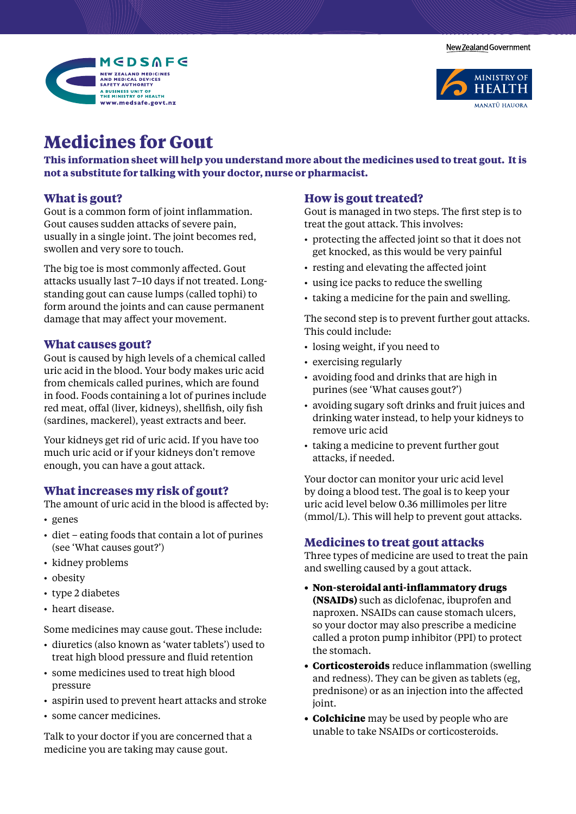New Zealand Government





# **Medicines for Gout**

**This information sheet will help you understand more about the medicines used to treat gout. It is not a substitute for talking with your doctor, nurse or pharmacist.** 

## **What is gout?**

Gout is a common form of joint inflammation. Gout causes sudden attacks of severe pain, usually in a single joint. The joint becomes red, swollen and very sore to touch.

The big toe is most commonly affected. Gout attacks usually last 7–10 days if not treated. Longstanding gout can cause lumps (called tophi) to form around the joints and can cause permanent damage that may affect your movement.

## **What causes gout?**

Gout is caused by high levels of a chemical called uric acid in the blood. Your body makes uric acid from chemicals called purines, which are found in food. Foods containing a lot of purines include red meat, offal (liver, kidneys), shellfish, oily fish (sardines, mackerel), yeast extracts and beer.

Your kidneys get rid of uric acid. If you have too much uric acid or if your kidneys don't remove enough, you can have a gout attack.

## **What increases my risk of gout?**

The amount of uric acid in the blood is affected by:

- • genes
- diet eating foods that contain a lot of purines (see 'What causes gout?')
- kidney problems
- obesity
- type 2 diabetes
- heart disease.

Some medicines may cause gout. These include:

- diuretics (also known as 'water tablets') used to treat high blood pressure and fluid retention
- some medicines used to treat high blood pressure
- aspirin used to prevent heart attacks and stroke
- some cancer medicines.

Talk to your doctor if you are concerned that a medicine you are taking may cause gout.

## **How is gout treated?**

Gout is managed in two steps. The first step is to treat the gout attack. This involves:

- protecting the affected joint so that it does not get knocked, as this would be very painful
- resting and elevating the affected joint
- using ice packs to reduce the swelling
- taking a medicine for the pain and swelling.

The second step is to prevent further gout attacks. This could include:

- losing weight, if you need to
- exercising regularly
- avoiding food and drinks that are high in purines (see 'What causes gout?')
- avoiding sugary soft drinks and fruit juices and drinking water instead, to help your kidneys to remove uric acid
- taking a medicine to prevent further gout attacks, if needed.

Your doctor can monitor your uric acid level by doing a blood test. The goal is to keep your uric acid level below 0.36 millimoles per litre (mmol/L). This will help to prevent gout attacks.

#### **Medicines to treat gout attacks**

Three types of medicine are used to treat the pain and swelling caused by a gout attack.

- **• Non-steroidal anti-inflammatory drugs (NSAIDs)** such as diclofenac, ibuprofen and naproxen. NSAIDs can cause stomach ulcers, so your doctor may also prescribe a medicine called a proton pump inhibitor (PPI) to protect the stomach.
- **• Corticosteroids** reduce inflammation (swelling and redness). They can be given as tablets (eg, prednisone) or as an injection into the affected joint.
- **• Colchicine** may be used by people who are unable to take NSAIDs or corticosteroids.